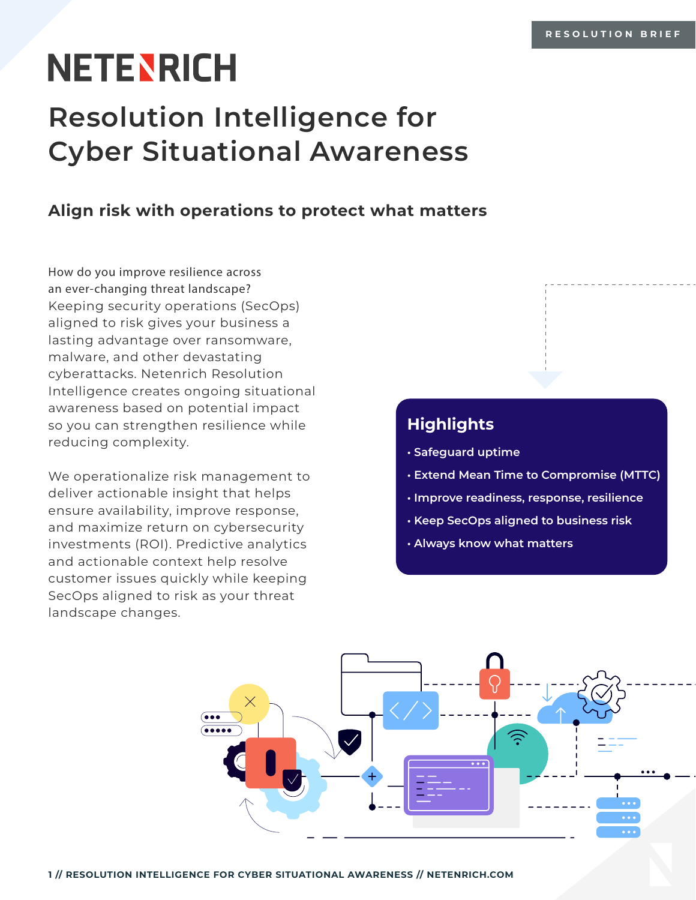# **NETENRICH**

# **Resolution Intelligence for Cyber Situational Awareness**

### **Align risk with operations to protect what matters**

How do you improve resilience across an ever-changing threat landscape? Keeping security operations (SecOps) aligned to risk gives your business a lasting advantage over ransomware, malware, and other devastating cyberattacks. Netenrich Resolution Intelligence creates ongoing situational awareness based on potential impact so you can strengthen resilience while reducing complexity.

We operationalize risk management to deliver actionable insight that helps ensure availability, improve response, and maximize return on cybersecurity investments (ROI). Predictive analytics and actionable context help resolve customer issues quickly while keeping SecOps aligned to risk as your threat landscape changes.

## **Highlights**

- **Safeguard uptime**
- **Extend Mean Time to Compromise (MTTC)**
- **Improve readiness, response, resilience**
- **Keep SecOps aligned to business risk**
- **Always know what matters**

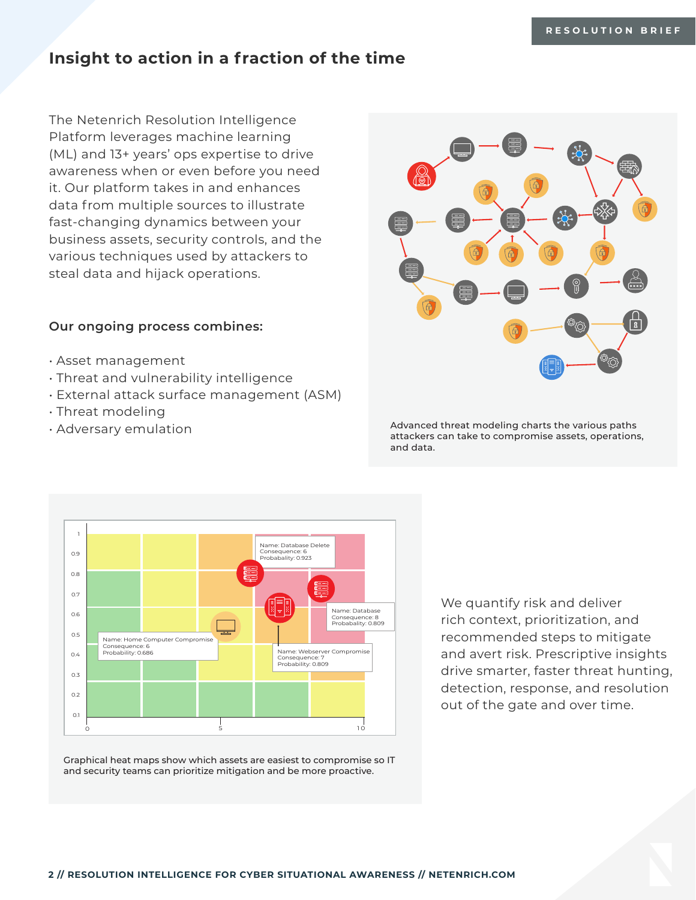#### **Insight to action in a fraction of the time**

The Netenrich Resolution Intelligence Platform leverages machine learning (ML) and 13+ years' ops expertise to drive awareness when or even before you need it. Our platform takes in and enhances data from multiple sources to illustrate fast-changing dynamics between your business assets, security controls, and the various techniques used by attackers to steal data and hijack operations.

#### **Our ongoing process combines:**

- Asset management
- Threat and vulnerability intelligence
- External attack surface management (ASM)
- Threat modeling
- Adversary emulation



Advanced threat modeling charts the various paths attackers can take to compromise assets, operations, and data.



Graphical heat maps show which assets are easiest to compromise so IT and security teams can prioritize mitigation and be more proactive.

We quantify risk and deliver rich context, prioritization, and recommended steps to mitigate and avert risk. Prescriptive insights drive smarter, faster threat hunting, detection, response, and resolution out of the gate and over time.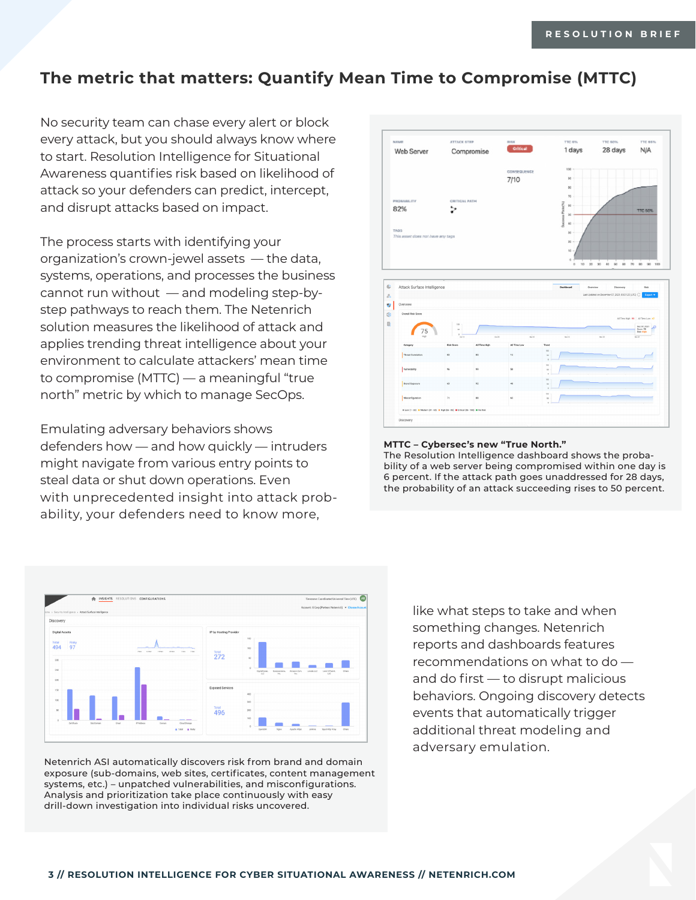#### **The metric that matters: Quantify Mean Time to Compromise (MTTC)**

No security team can chase every alert or block every attack, but you should always know where to start. Resolution Intelligence for Situational Awareness quantifies risk based on likelihood of attack so your defenders can predict, intercept, and disrupt attacks based on impact.

The process starts with identifying your organization's crown-jewel assets — the data, systems, operations, and processes the business cannot run without — and modeling step-bystep pathways to reach them. The Netenrich solution measures the likelihood of attack and applies trending threat intelligence about your environment to calculate attackers' mean time to compromise (MTTC) — a meaningful "true north" metric by which to manage SecOps.

Emulating adversary behaviors shows defenders how — and how quickly — intruders might navigate from various entry points to steal data or shut down operations. Even with unprecedented insight into attack probability, your defenders need to know more,



Netenrich ASI automatically discovers risk from brand and domain exposure (sub-domains, web sites, certificates, content management systems, etc.) – unpatched vulnerabilities, and misconfigurations. Analysis and prioritization take place continuously with easy drill-down investigation into individual risks uncovered.



#### **MTTC – Cybersec's new "True North."**

The Resolution Intelligence dashboard shows the probability of a web server being compromised within one day is 6 percent. If the attack path goes unaddressed for 28 days, the probability of an attack succeeding rises to 50 percent.

> like what steps to take and when something changes. Netenrich reports and dashboards features recommendations on what to do and do first — to disrupt malicious behaviors. Ongoing discovery detects events that automatically trigger additional threat modeling and adversary emulation.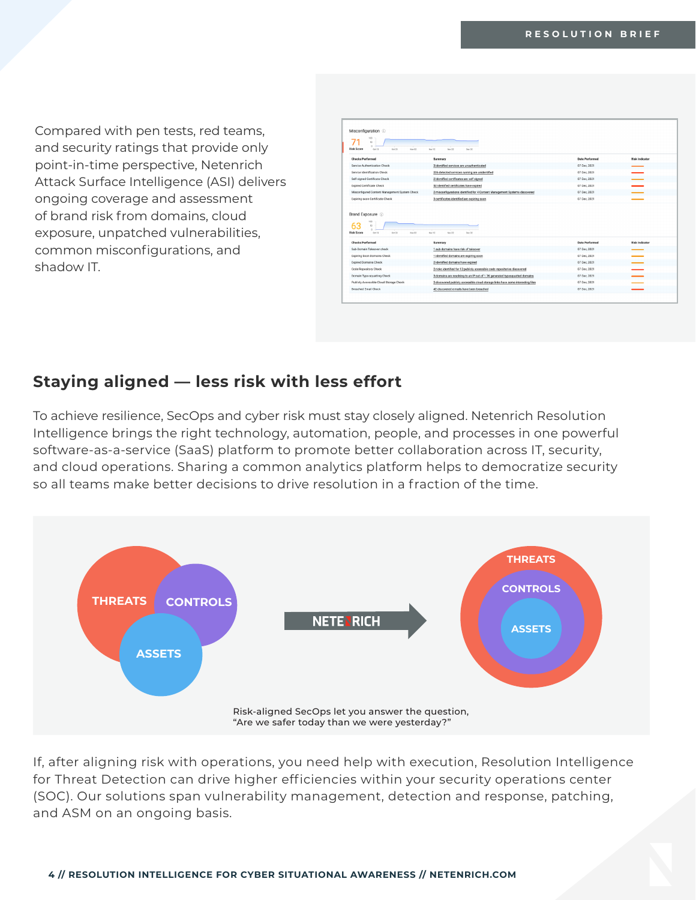Compared with pen tests, red teams, and security ratings that provide only point-in-time perspective, Netenrich Attack Surface Intelligence (ASI) delivers ongoing coverage and assessment of brand risk from domains, cloud exposure, unpatched vulnerabilities, common misconfigurations, and shadow IT.

| 100<br>s<br>$\sim$<br><b>Risk Score</b><br>$0$ ct 13<br>$0$ ct 23<br>Nov 02                                | Nov 12<br>Nov 22<br>Dec 02                                                                                                   |                              |                       |
|------------------------------------------------------------------------------------------------------------|------------------------------------------------------------------------------------------------------------------------------|------------------------------|-----------------------|
| <b>Checks Performed</b>                                                                                    | Summary                                                                                                                      | <b>Date Performed</b>        | <b>Risk Indicator</b> |
| Service Authentication Check                                                                               | 3 identified services are unauthenticated                                                                                    | 07 Dec. 2021                 |                       |
| Service Identification Check                                                                               | 226 detected services running are unidentified                                                                               | 07 Dec. 2021                 |                       |
| Self-signed Certificate Check                                                                              | 2 identified certificates are self signed                                                                                    | 07 Dec. 2021                 |                       |
| Expired Certificate Check                                                                                  | 52 identified certificates have expired                                                                                      | 07 Dec. 2021                 |                       |
| Misconfigured Content Management System Check                                                              | 2 misconfigurations identified for 4 Content Management Systems discovered                                                   | 07 Dec. 2021                 |                       |
|                                                                                                            |                                                                                                                              |                              |                       |
| 500                                                                                                        | 3 certificates identified are expiring soon                                                                                  | 07 Dec. 2021                 |                       |
| Expiring soon Certificate Check<br>Brand Exposure 1<br>50<br>$0ct$ 22<br>Risk Score<br>$0$ ct 13<br>Nov 02 | Nov 12<br>Nov 22<br>Dec 02                                                                                                   |                              |                       |
| <b>Checks Performed</b>                                                                                    | Summary                                                                                                                      | Date Performed               | <b>Risk Indicator</b> |
| Sub-Domain Takeover check                                                                                  | 1 sub-domains have risk of takeover                                                                                          | 07 Dec. 2021                 |                       |
| Expiring Soon Domains Check                                                                                | 1 identified domains are expiring soon                                                                                       | 07 Dec, 2021                 |                       |
| <b>Expired Domains Check</b>                                                                               | 2 identified domains have expired                                                                                            | 07 Dec. 2021                 |                       |
| Code Repository Check                                                                                      | 2 risks identified for 12 publicly accessible code repositories discovered                                                   | 07 Dec. 2021                 |                       |
| Domain Typo-squatting Check                                                                                | 3 domains are resolving to an IP out of 1.7K generated typosquatted domains                                                  | 07 Dec, 2021                 |                       |
| Publicly Accessible Cloud Storage Check<br><b>Breached Fmail Check</b>                                     | 2 discovered publicly accessible cloud storage links have some interesting files<br>42 discovered e-mails have been breached | 07 Dec. 2021<br>07 Dec. 2021 |                       |

#### **Staying aligned — less risk with less effort**

To achieve resilience, SecOps and cyber risk must stay closely aligned. Netenrich Resolution Intelligence brings the right technology, automation, people, and processes in one powerful software-as-a-service (SaaS) platform to promote better collaboration across IT, security, and cloud operations. Sharing a common analytics platform helps to democratize security so all teams make better decisions to drive resolution in a fraction of the time.



If, after aligning risk with operations, you need help with execution, Resolution Intelligence for Threat Detection can drive higher efficiencies within your security operations center (SOC). Our solutions span vulnerability management, detection and response, patching, and ASM on an ongoing basis.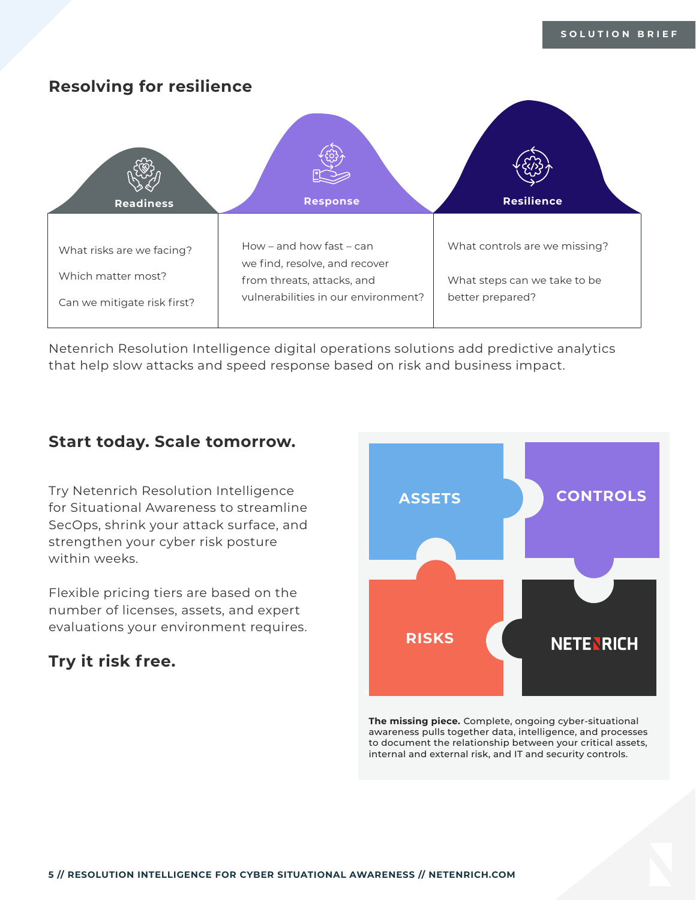

Netenrich Resolution Intelligence digital operations solutions add predictive analytics that help slow attacks and speed response based on risk and business impact.

#### **Start today. Scale tomorrow.**

Try Netenrich Resolution Intelligence for Situational Awareness to streamline SecOps, shrink your attack surface, and strengthen your cyber risk posture within weeks.

Flexible pricing tiers are based on the number of licenses, assets, and expert evaluations your environment requires.

#### **Try it risk free.**



**The missing piece.** Complete, ongoing cyber-situational awareness pulls together data, intelligence, and processes to document the relationship between your critical assets, internal and external risk, and IT and security controls.